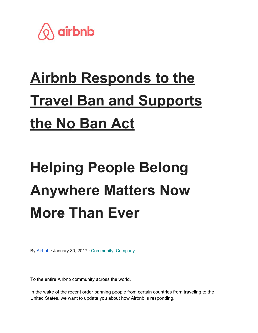

## **Airbnb Responds to the Travel Ban and Supports the No Ban Act**

## **Helping People Belong Anywhere Matters Now More Than Ever**

By [Airbnb](https://news.airbnb.com/author/airbnbpress/) · January 30, 2017 · [Community](https://news.airbnb.com/category/community/), [Company](https://news.airbnb.com/category/company-information/)

To the entire Airbnb community across the world,

In the wake of the recent order banning people from certain countries from traveling to the United States, we want to update you about how Airbnb is responding.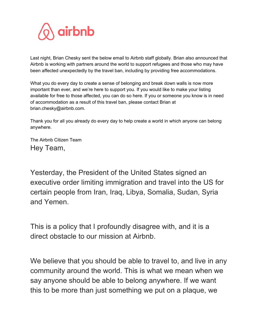

Last night, Brian Chesky sent the below email to Airbnb staff globally. Brian also announced that Airbnb is working with partners around the world to support refugees and those who may have been affected unexpectedly by the travel ban, including by providing free accommodations.

What you do every day to create a sense of belonging and break down walls is now more important than ever, and we're here to support you. If you would like to make your listing available for free to those affected, you can do so here. If you or someone you know is in need of accommodation as a result of this travel ban, please contact Brian at brian.chesky@airbnb.com.

Thank you for all you already do every day to help create a world in which anyone can belong anywhere.

The Airbnb Citizen Team Hey Team,

Yesterday, the President of the United States signed an executive order limiting immigration and travel into the US for certain people from Iran, Iraq, Libya, Somalia, Sudan, Syria and Yemen.

This is a policy that I profoundly disagree with, and it is a direct obstacle to our mission at Airbnb.

We believe that you should be able to travel to, and live in any community around the world. This is what we mean when we say anyone should be able to belong anywhere. If we want this to be more than just something we put on a plaque, we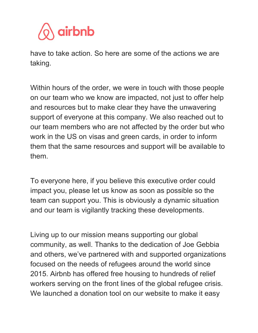

have to take action. So here are some of the actions we are taking.

Within hours of the order, we were in touch with those people on our team who we know are impacted, not just to offer help and resources but to make clear they have the unwavering support of everyone at this company. We also reached out to our team members who are not affected by the order but who work in the US on visas and green cards, in order to inform them that the same resources and support will be available to them.

To everyone here, if you believe this executive order could impact you, please let us know as soon as possible so the team can support you. This is obviously a dynamic situation and our team is vigilantly tracking these developments.

Living up to our mission means supporting our global community, as well. Thanks to the dedication of Joe Gebbia and others, we've partnered with and supported organizations focused on the needs of refugees around the world since 2015. Airbnb has offered free housing to hundreds of relief workers serving on the front lines of the global refugee crisis. We launched a donation tool on our website to make it easy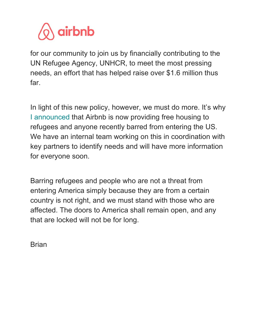

for our community to join us by financially contributing to the UN Refugee Agency, UNHCR, to meet the most pressing needs, an effort that has helped raise over \$1.6 million thus far.

In light of this new policy, however, we must do more. It's why I [announced](https://twitter.com/bchesky/status/825517729251684352) that Airbnb is now providing free housing to refugees and anyone recently barred from entering the US. We have an internal team working on this in coordination with key partners to identify needs and will have more information for everyone soon.

Barring refugees and people who are not a threat from entering America simply because they are from a certain country is not right, and we must stand with those who are affected. The doors to America shall remain open, and any that are locked will not be for long.

**Brian**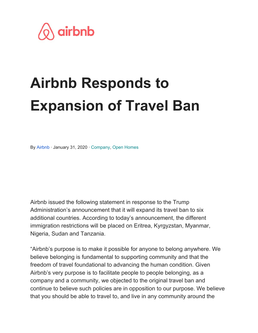

## **Airbnb Responds to Expansion of Travel Ban**

By [Airbnb](https://news.airbnb.com/en-us/author/airbnbpress/) · January 31, 2020 · [Company](https://news.airbnb.com/en-us/category/company/), [Open Homes](https://news.airbnb.com/en-us/category/open-homes/)

Airbnb issued the following statement in response to the Trump Administration's announcement that it will expand its travel ban to six additional countries. According to today's announcement, the different immigration restrictions will be placed on Eritrea, Kyrgyzstan, Myanmar, Nigeria, Sudan and Tanzania.

"Airbnb's purpose is to make it possible for anyone to belong anywhere. We believe belonging is fundamental to supporting community and that the freedom of travel foundational to advancing the human condition. Given Airbnb's very purpose is to facilitate people to people belonging, as a company and a community, we objected to the original travel ban and continue to believe such policies are in opposition to our purpose. We believe that you should be able to travel to, and live in any community around the